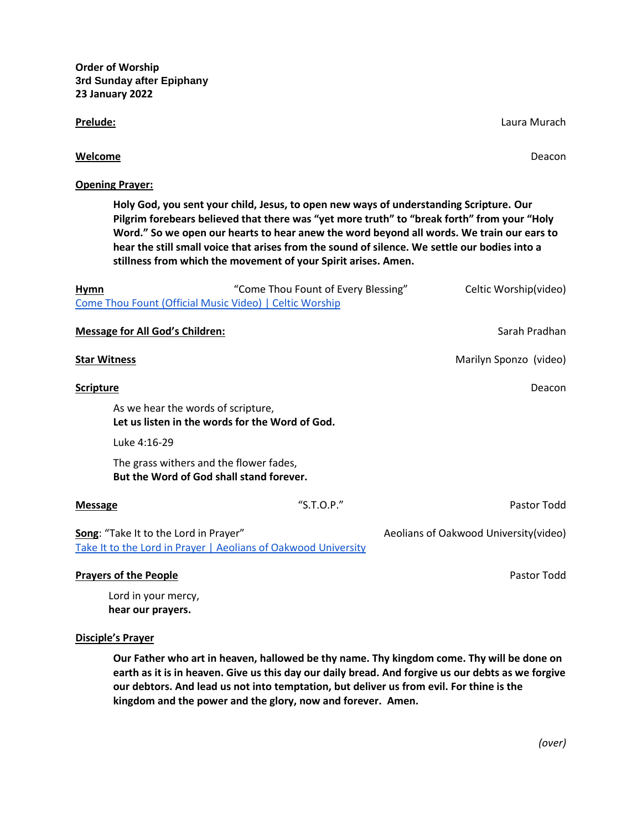**Order of Worship 3rd Sunday after Epiphany 23 January 2022**

**Opening Prayer:**

**Prelude:** Laura Murach

|                                         | stillness from which the movement of your Spirit arises. Amen.                                 |                                       |
|-----------------------------------------|------------------------------------------------------------------------------------------------|---------------------------------------|
| <b>Hymn</b>                             | "Come Thou Fount of Every Blessing"<br>Come Thou Fount (Official Music Video)   Celtic Worship | Celtic Worship(video)                 |
| <b>Message for All God's Children:</b>  |                                                                                                | Sarah Pradhan                         |
| <b>Star Witness</b>                     |                                                                                                | Marilyn Sponzo (video)                |
| <b>Scripture</b>                        |                                                                                                | Deacon                                |
| As we hear the words of scripture,      | Let us listen in the words for the Word of God.                                                |                                       |
| Luke 4:16-29                            |                                                                                                |                                       |
| The grass withers and the flower fades, | But the Word of God shall stand forever.                                                       |                                       |
| <b>Message</b>                          | "S.T.O.P."                                                                                     | Pastor Todd                           |
| Song: "Take It to the Lord in Prayer"   | Take It to the Lord in Prayer   Aeolians of Oakwood University                                 | Aeolians of Oakwood University(video) |
| <b>Prayers of the People</b>            |                                                                                                | Pastor Todd                           |

**Welcome** Deacon

**Holy God, you sent your child, Jesus, to open new ways of understanding Scripture. Our Pilgrim forebears believed that there was "yet more truth" to "break forth" from your "Holy Word." So we open our hearts to hear anew the word beyond all words. We train our ears to hear the still small voice that arises from the sound of silence. We settle our bodies into a** 

Lord in your mercy, **hear our prayers.** 

# **Disciple's Prayer**

**Our Father who art in heaven, hallowed be thy name. Thy kingdom come. Thy will be done on earth as it is in heaven. Give us this day our daily bread. And forgive us our debts as we forgive our debtors. And lead us not into temptation, but deliver us from evil. For thine is the kingdom and the power and the glory, now and forever. Amen.**

*(over)*